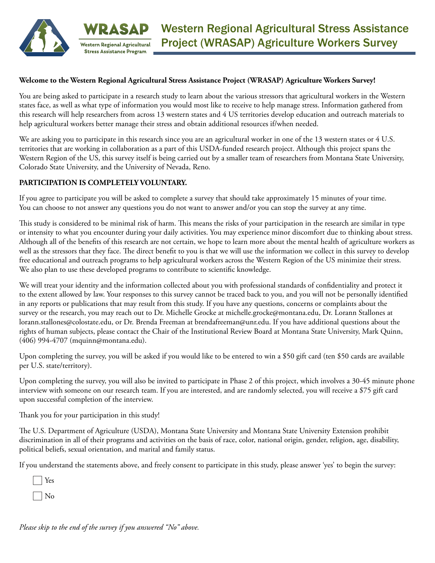

#### **Welcome to the Western Regional Agricultural Stress Assistance Project (WRASAP) Agriculture Workers Survey!**

You are being asked to participate in a research study to learn about the various stressors that agricultural workers in the Western states face, as well as what type of information you would most like to receive to help manage stress. Information gathered from this research will help researchers from across 13 western states and 4 US territories develop education and outreach materials to help agricultural workers better manage their stress and obtain additional resources if/when needed.

We are asking you to participate in this research since you are an agricultural worker in one of the 13 western states or 4 U.S. territories that are working in collaboration as a part of this USDA-funded research project. Although this project spans the Western Region of the US, this survey itself is being carried out by a smaller team of researchers from Montana State University, Colorado State University, and the University of Nevada, Reno.

#### **PARTICIPATION IS COMPLETELY VOLUNTARY.**

**Stress Assistance Program** 

If you agree to participate you will be asked to complete a survey that should take approximately 15 minutes of your time. You can choose to not answer any questions you do not want to answer and/or you can stop the survey at any time.

This study is considered to be minimal risk of harm. This means the risks of your participation in the research are similar in type or intensity to what you encounter during your daily activities. You may experience minor discomfort due to thinking about stress. Although all of the benefits of this research are not certain, we hope to learn more about the mental health of agriculture workers as well as the stressors that they face. The direct benefit to you is that we will use the information we collect in this survey to develop free educational and outreach programs to help agricultural workers across the Western Region of the US minimize their stress. We also plan to use these developed programs to contribute to scientific knowledge.

We will treat your identity and the information collected about you with professional standards of confidentiality and protect it to the extent allowed by law. Your responses to this survey cannot be traced back to you, and you will not be personally identified in any reports or publications that may result from this study. If you have any questions, concerns or complaints about the survey or the research, you may reach out to Dr. Michelle Grocke at michelle.grocke@montana.edu, Dr. Lorann Stallones at lorann.stallones@colostate.edu, or Dr. Brenda Freeman at brendafreeman@unr.edu. If you have additional questions about the rights of human subjects, please contact the Chair of the Institutional Review Board at Montana State University, Mark Quinn, (406) 994-4707 (mquinn@montana.edu).

Upon completing the survey, you will be asked if you would like to be entered to win a \$50 gift card (ten \$50 cards are available per U.S. state/territory).

Upon completing the survey, you will also be invited to participate in Phase 2 of this project, which involves a 30-45 minute phone interview with someone on our research team. If you are interested, and are randomly selected, you will receive a \$75 gift card upon successful completion of the interview.

Thank you for your participation in this study!

The U.S. Department of Agriculture (USDA), Montana State University and Montana State University Extension prohibit discrimination in all of their programs and activities on the basis of race, color, national origin, gender, religion, age, disability, political beliefs, sexual orientation, and marital and family status.

If you understand the statements above, and freely consent to participate in this study, please answer 'yes' to begin the survey:

 Yes No

*Please skip to the end of the survey if you answered "No" above.*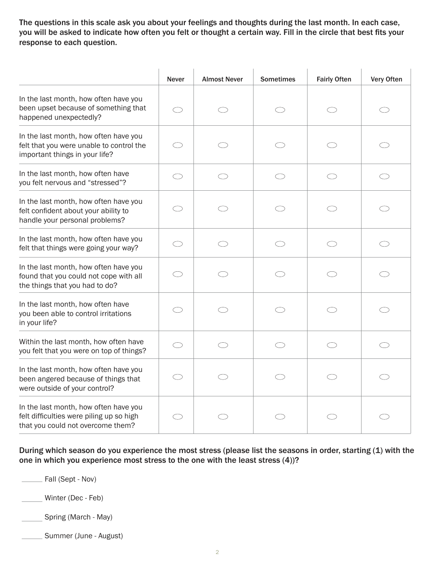The questions in this scale ask you about your feelings and thoughts during the last month. In each case, you will be asked to indicate how often you felt or thought a certain way. Fill in the circle that best fits your response to each question.

|                                                                                                                        | <b>Never</b> | <b>Almost Never</b> | <b>Sometimes</b> | <b>Fairly Often</b> | Very Often |
|------------------------------------------------------------------------------------------------------------------------|--------------|---------------------|------------------|---------------------|------------|
| In the last month, how often have you<br>been upset because of something that<br>happened unexpectedly?                |              |                     | C)               |                     |            |
| In the last month, how often have you<br>felt that you were unable to control the<br>important things in your life?    | ⌒            |                     |                  |                     |            |
| In the last month, how often have<br>you felt nervous and "stressed"?                                                  |              |                     | O)               |                     |            |
| In the last month, how often have you<br>felt confident about your ability to<br>handle your personal problems?        |              |                     |                  |                     |            |
| In the last month, how often have you<br>felt that things were going your way?                                         |              |                     |                  |                     |            |
| In the last month, how often have you<br>found that you could not cope with all<br>the things that you had to do?      |              |                     |                  |                     |            |
| In the last month, how often have<br>you been able to control irritations<br>in your life?                             | ◯            |                     | ⌒                | ⌒                   | $\bigcirc$ |
| Within the last month, how often have<br>you felt that you were on top of things?                                      |              |                     |                  |                     |            |
| In the last month, how often have you<br>been angered because of things that<br>were outside of your control?          | ◯            |                     |                  |                     |            |
| In the last month, how often have you<br>felt difficulties were piling up so high<br>that you could not overcome them? |              |                     |                  |                     |            |

During which season do you experience the most stress (please list the seasons in order, starting (1) with the one in which you experience most stress to the one with the least stress (4))?

**Example 3** Fall (Sept - Nov)

Winter (Dec - Feb)

Spring (March - May)

Summer (June - August)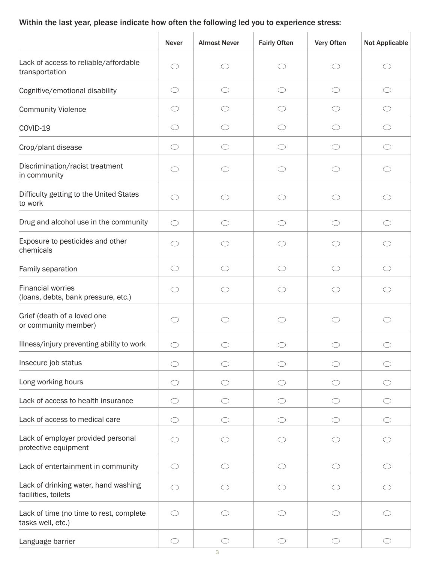# Within the last year, please indicate how often the following led you to experience stress:

|                                                                 | <b>Never</b> | <b>Almost Never</b> | <b>Fairly Often</b> | Very Often | <b>Not Applicable</b> |
|-----------------------------------------------------------------|--------------|---------------------|---------------------|------------|-----------------------|
| Lack of access to reliable/affordable<br>transportation         | ◯            | $\bigcirc$          | $\bigcirc$          | $\bigcirc$ | ◯                     |
| Cognitive/emotional disability                                  | $\bigcirc$   | $\bigcirc$          | $\bigcirc$          | $\bigcirc$ | $\bigcirc$            |
| <b>Community Violence</b>                                       | $\bigcirc$   | O                   | $\bigcirc$          | O          | $\bigcirc$            |
| COVID-19                                                        | O            | ( )                 | O                   | O          | $\bigcirc$            |
| Crop/plant disease                                              | $\bigcirc$   | $\bigcirc$          | $\bigcirc$          | $\bigcirc$ | $\bigcirc$            |
| Discrimination/racist treatment<br>in community                 | ◯            | ◯                   | ◯                   | ◯          | $\bigcirc$            |
| Difficulty getting to the United States<br>to work              | ◯            |                     | ◯                   | ◯          | ◯                     |
| Drug and alcohol use in the community                           | $\bigcirc$   | ◯                   | $\bigcirc$          | O          | $\bigcirc$            |
| Exposure to pesticides and other<br>chemicals                   | ◯            | ◯                   | $\bigcirc$          | ⌒          | $\bigcirc$            |
| Family separation                                               | $\bigcirc$   | ◯                   | $\bigcirc$          | ◯          | $\bigcirc$            |
| <b>Financial worries</b><br>(loans, debts, bank pressure, etc.) | ( )          |                     | ( )                 | O          | ◯                     |
| Grief (death of a loved one<br>or community member)             | O            |                     | ◯                   | ◯          | O                     |
| Illness/injury preventing ability to work                       |              |                     |                     |            |                       |
| Insecure job status                                             | ◯            | ⌒                   | ⌒                   | ◯          | ⌒                     |
| Long working hours                                              | O            |                     | O                   | ( )        | $\bigcirc$            |
| Lack of access to health insurance                              | $\bigcirc$   | O                   | $\bigcirc$          | O          | $\bigcirc$            |
| Lack of access to medical care                                  | ◯            | ◯                   | ◯                   | ◯          | ⌒                     |
| Lack of employer provided personal<br>protective equipment      | ◯            |                     | ◯                   | € €        | ⌒                     |
| Lack of entertainment in community                              | ◯            | ◯                   | ⌒                   | ◯          | ◯                     |
| Lack of drinking water, hand washing<br>facilities, toilets     | ⌒            | ◯                   | ◯                   | ◯          | ⌒                     |
| Lack of time (no time to rest, complete<br>tasks well, etc.)    | ◯            |                     | ◯                   | ⌒          |                       |
| Language barrier                                                | $\bigcirc$   | $\circlearrowright$ | ◯                   | $\bigcirc$ | $\bigcirc$            |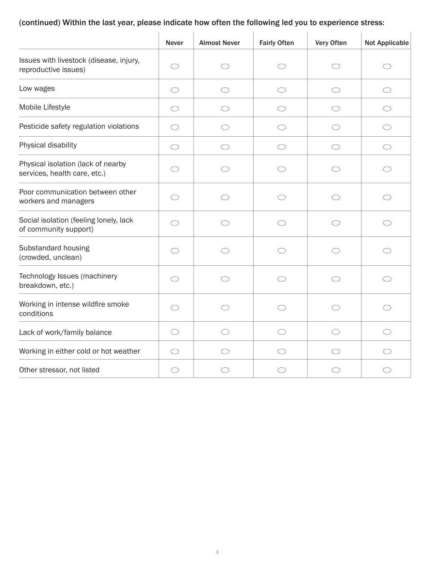## (continued) Within the last year, please indicate how often the following led you to experience stress:

|                                                                    | <b>Never</b> | <b>Almost Never</b> | <b>Fairly Often</b> | Very Often | <b>Not Applicable</b> |
|--------------------------------------------------------------------|--------------|---------------------|---------------------|------------|-----------------------|
| Issues with livestock (disease, injury,<br>reproductive issues)    | ◯            | ◯                   | ( )                 | O          | ()                    |
| Low wages                                                          | $\bigcirc$   | ◯                   | ◯                   | $\bigcirc$ | ◯                     |
| Mobile Lifestyle                                                   | O            | O                   | O                   | O          | O                     |
| Pesticide safety regulation violations                             | O            | O                   | O                   | O          | O                     |
| Physical disability                                                | ◯            | ◯                   | ◯                   | ◯          | ◯                     |
| Physical isolation (lack of nearby<br>services, health care, etc.) | C)           |                     | C)                  | C)         | O                     |
| Poor communication between other<br>workers and managers           | ◯            | ⌒                   | ⌒                   | ◯          | ◯                     |
| Social isolation (feeling lonely, lack<br>of community support)    | $\bigcirc$   | ◯                   | $\bigcirc$          | $\bigcirc$ | $\bigcirc$            |
| Substandard housing<br>(crowded, unclean)                          | $\bigcirc$   | ◯                   | ◯                   | ◯          | ⌒                     |
| Technology Issues (machinery<br>breakdown, etc.)                   | $\bigcirc$   | ◯                   | $\bigcirc$          | $\bigcirc$ | $\bigcirc$            |
| Working in intense wildfire smoke<br>conditions                    | ◯            | ⌒                   | $\bigcirc$          | $\bigcirc$ | ◯                     |
| Lack of work/family balance                                        | O            | ◯                   | ◯                   | O          | ◯                     |
| Working in either cold or hot weather                              | ◯            |                     | ⌒                   | ⌒          | ◯                     |
| Other stressor, not listed                                         | ◯            |                     | ◯                   | ◯          | ⌒                     |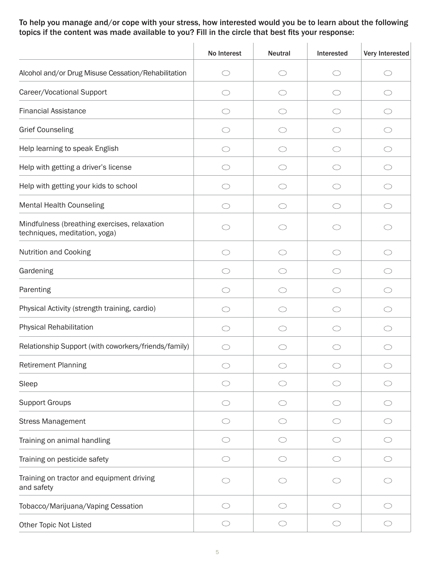To help you manage and/or cope with your stress, how interested would you be to learn about the following topics if the content was made available to you? Fill in the circle that best fits your response:

|                                                                               | No Interest | <b>Neutral</b> | Interested | Very Interested |
|-------------------------------------------------------------------------------|-------------|----------------|------------|-----------------|
| Alcohol and/or Drug Misuse Cessation/Rehabilitation                           | ◯           | $\bigcirc$     | ◯          | ◯               |
| Career/Vocational Support                                                     |             | ( )            |            | O               |
| <b>Financial Assistance</b>                                                   | O           | $\bigcirc$     | O          | $\bigcirc$      |
| <b>Grief Counseling</b>                                                       | ⌒           | ◯              | ⌒          | ◯               |
| Help learning to speak English                                                | ◯           | $\bigcirc$     | ⌒          | $\bigcirc$      |
| Help with getting a driver's license                                          |             | C)             |            | O               |
| Help with getting your kids to school                                         |             | ()             |            | $\bigcirc$      |
| <b>Mental Health Counseling</b>                                               | ◯           | $\bigcirc$     | ( )        | $\bigcirc$      |
| Mindfulness (breathing exercises, relaxation<br>techniques, meditation, yoga) |             |                |            |                 |
| <b>Nutrition and Cooking</b>                                                  | ◯           | O              | ( )        | O               |
| Gardening                                                                     | ⌒           | ⌒              | ⌒          | ⌒               |
| Parenting                                                                     | $\bigcirc$  | $\bigcirc$     | ◯          | $\bigcirc$      |
| Physical Activity (strength training, cardio)                                 | ⌒           | $\bigcirc$     | ◯          | $\bigcirc$      |
| <b>Physical Rehabilitation</b>                                                | ◯           | ◯              | ⌒          | ◯               |
| Relationship Support (with coworkers/friends/family)                          | ( )         | ◯              | ( )        | ⌒               |
| <b>Retirement Planning</b>                                                    |             | $\bigcirc$     |            | $\bigcirc$      |
| Sleep                                                                         |             | ◯              |            | O               |
| <b>Support Groups</b>                                                         | ◯           | $\bigcirc$     | ◯          | $\bigcirc$      |
| <b>Stress Management</b>                                                      | O           | $\bigcirc$     | O          | $\bigcirc$      |
| Training on animal handling                                                   | ◯           | $\bigcirc$     |            | $\bigcirc$      |
| Training on pesticide safety                                                  | ⌒           | $\bigcirc$     | O          | $\bigcirc$      |
| Training on tractor and equipment driving<br>and safety                       |             | C)             |            | O               |
| Tobacco/Marijuana/Vaping Cessation                                            | ⌒           | $\bigcirc$     | ⌒          | $\bigcirc$      |
| Other Topic Not Listed                                                        | $\bigcirc$  | $\bigcirc$     | $\bigcirc$ | $\bigcirc$      |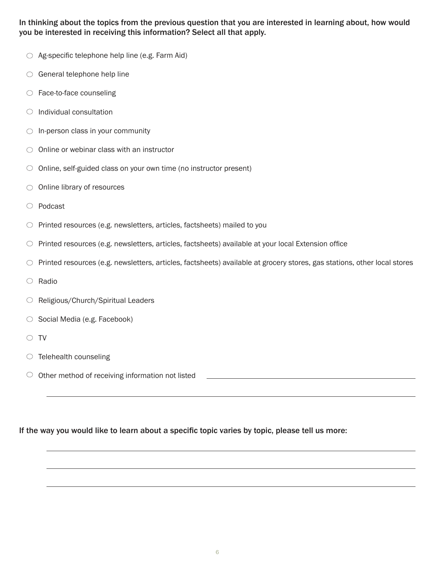## In thinking about the topics from the previous question that you are interested in learning about, how would you be interested in receiving this information? Select all that apply.

- $\circ$  Ag-specific telephone help line (e.g. Farm Aid)
- $\circ$  General telephone help line
- $\circ$  Face-to-face counseling
- $\circ$  Individual consultation
- $\bigcirc$  In-person class in your community
- $\circlearrowright$  Online or webinar class with an instructor
- $\circ$  Online, self-guided class on your own time (no instructor present)
- $\bigcirc$  Online library of resources
- Podcast
- $\circlearrowright$  Printed resources (e.g. newsletters, articles, factsheets) mailed to you
- $\circlearrowright$  Printed resources (e.g. newsletters, articles, factsheets) available at your local Extension office
- $\circlearrowright$  Printed resources (e.g. newsletters, articles, factsheets) available at grocery stores, gas stations, other local stores
- $\circ$  Radio
- O Religious/Church/Spiritual Leaders
- $\circ$  Social Media (e.g. Facebook)
- $\circ$  TV
- $\circlearrowright$  Telehealth counseling
- $\circlearrowright$  Other method of receiving information not listed  $\Box$

#### If the way you would like to learn about a specific topic varies by topic, please tell us more: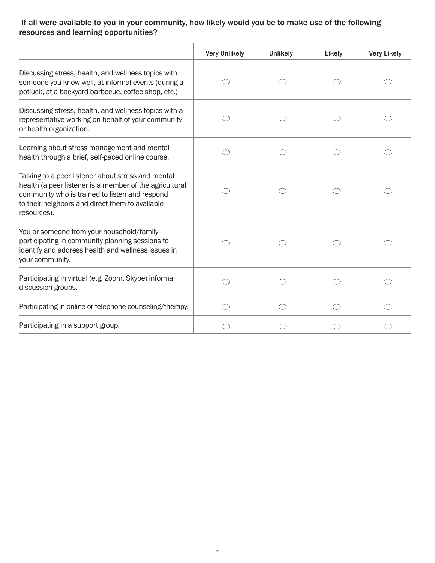## If all were available to you in your community, how likely would you be to make use of the following resources and learning opportunities?

|                                                                                                                                                                                                                                   | <b>Very Unlikely</b> | <b>Unlikely</b> | Likely | <b>Very Likely</b> |
|-----------------------------------------------------------------------------------------------------------------------------------------------------------------------------------------------------------------------------------|----------------------|-----------------|--------|--------------------|
| Discussing stress, health, and wellness topics with<br>someone you know well, at informal events (during a<br>potluck, at a backyard barbecue, coffee shop, etc.)                                                                 |                      |                 |        |                    |
| Discussing stress, health, and wellness topics with a<br>representative working on behalf of your community<br>or health organization.                                                                                            |                      |                 |        |                    |
| Learning about stress management and mental<br>health through a brief, self-paced online course.                                                                                                                                  |                      |                 |        | ⌒                  |
| Talking to a peer listener about stress and mental<br>health (a peer listener is a member of the agricultural<br>community who is trained to listen and respond<br>to their neighbors and direct them to available<br>resources). |                      |                 |        |                    |
| You or someone from your household/family<br>participating in community planning sessions to<br>identify and address health and wellness issues in<br>your community.                                                             |                      |                 |        |                    |
| Participating in virtual (e.g. Zoom, Skype) informal<br>discussion groups.                                                                                                                                                        |                      |                 |        |                    |
| Participating in online or telephone counseling/therapy.                                                                                                                                                                          | $\bigcirc$           | ◯               |        | ◯                  |
| Participating in a support group.                                                                                                                                                                                                 |                      |                 |        |                    |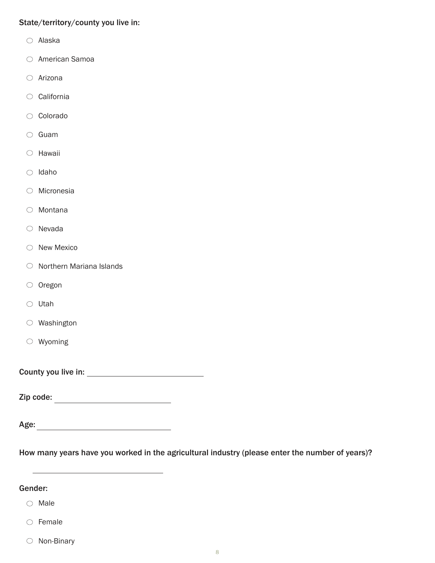### State/territory/county you live in:

- Alaska
- American Samoa
- Arizona
- California
- Colorado
- $\circ$  Guam
- $\circ$  Hawaii
- $\bigcirc$  Idaho
- Micronesia
- Montana
- $\circ$  Nevada
- $\bigcirc$  New Mexico
- $\circlearrowright$  Northern Mariana Islands
- $\circ$  Oregon
- $\circ$  Utah
- Washington
- Wyoming

County you live in:

Zip code:

Age:

How many years have you worked in the agricultural industry (please enter the number of years)?

#### Gender:

- $\bigcirc$  Male
- $\circ$  Female
- $\circlearrowright$  Non-Binary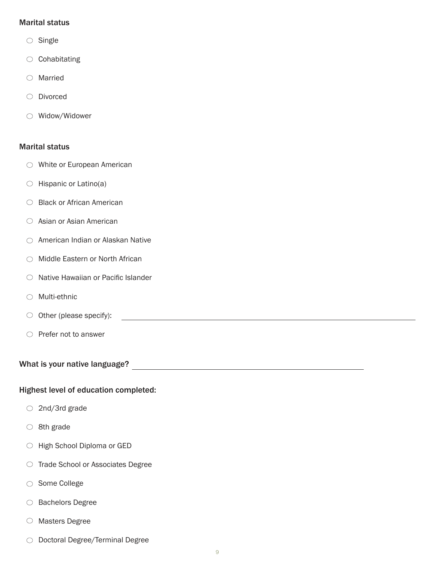#### Marital status

- $\circ$  Single
- $\circlearrowright$  Cohabitating
- Married
- Divorced
- Widow/Widower

#### Marital status

- White or European American
- $\bigcirc$  Hispanic or Latino(a)
- Black or African American
- $\circ$  Asian or Asian American
- American Indian or Alaskan Native
- $\bigcirc$  Middle Eastern or North African
- $\circ$  Native Hawaiian or Pacific Islander
- $\bigcirc$  Multi-ethnic
- O Other (please specify):  $\qquad \qquad$
- $\circlearrowright$  Prefer not to answer

What is your native language?

#### Highest level of education completed:

- $\bigcirc$  2nd/3rd grade
- $\circ$  8th grade
- High School Diploma or GED
- $\circ$  Trade School or Associates Degree
- Some College
- $\bigcirc$  Bachelors Degree
- $\circ$  Masters Degree
- O Doctoral Degree/Terminal Degree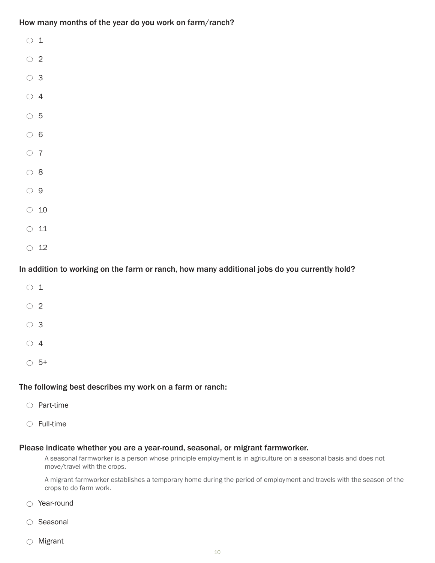How many months of the year do you work on farm/ranch?

| ◯          | $\mathbf{1}$ |
|------------|--------------|
| $\circ$ 2  |              |
| $\circ$ 3  |              |
| $\circ$ 4  |              |
| $\circ$ 5  |              |
| $\circ$ 6  |              |
| $\circ$ 7  |              |
| $\circ$ 8  |              |
| $\circ$ 9  |              |
| $\bigcirc$ | 10           |
| $\bigcirc$ | 11           |
| $\bigcirc$ | 12           |

### In addition to working on the farm or ranch, how many additional jobs do you currently hold?

| $\circ$ 1 |      |  |
|-----------|------|--|
| $\circ$ 2 |      |  |
| $\circ$ 3 |      |  |
| $\circ$ 4 |      |  |
| $\cup$    | - 5+ |  |

#### The following best describes my work on a farm or ranch:

- $\bigcirc$  Part-time
- $\circ$  Full-time

#### Please indicate whether you are a year-round, seasonal, or migrant farmworker.

A seasonal farmworker is a person whose principle employment is in agriculture on a seasonal basis and does not move/travel with the crops.

 A migrant farmworker establishes a temporary home during the period of employment and travels with the season of the crops to do farm work.

- Year-round
- $\circ$  Seasonal
- $\bigcirc$  Migrant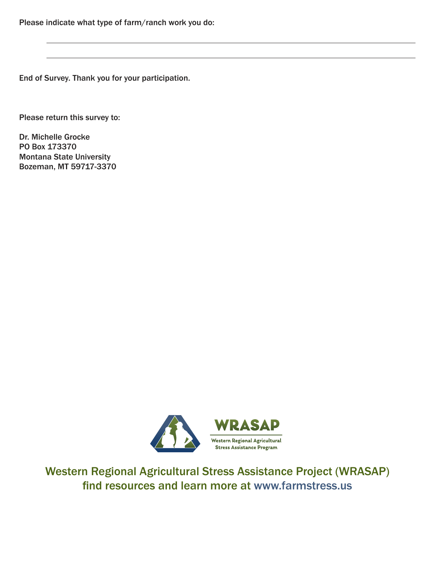End of Survey. Thank you for your participation.

Please return this survey to:

Dr. Michelle Grocke PO Box 173370 Montana State University Bozeman, MT 59717-3370



Western Regional Agricultural Stress Assistance Project (WRASAP) find resources and learn more at www.farmstress.us